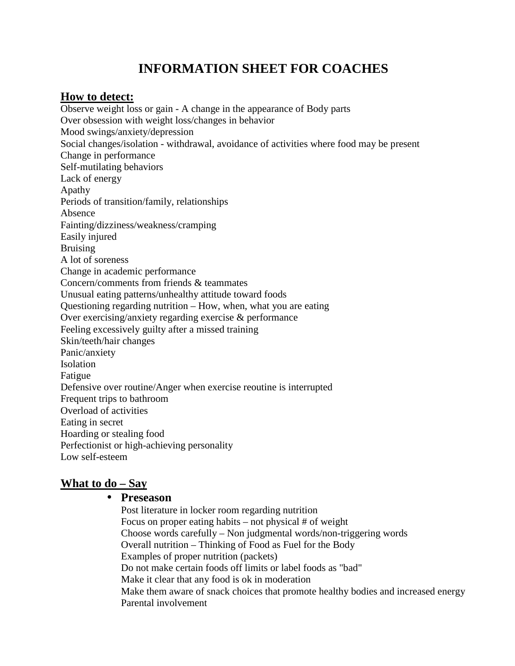# **INFORMATION SHEET FOR COACHES**

# **How to detect:**

Observe weight loss or gain - A change in the appearance of Body parts Over obsession with weight loss/changes in behavior Mood swings/anxiety/depression Social changes/isolation - withdrawal, avoidance of activities where food may be present Change in performance Self-mutilating behaviors Lack of energy Apathy Periods of transition/family, relationships Absence Fainting/dizziness/weakness/cramping Easily injured Bruising A lot of soreness Change in academic performance Concern/comments from friends & teammates Unusual eating patterns/unhealthy attitude toward foods Questioning regarding nutrition – How, when, what you are eating Over exercising/anxiety regarding exercise & performance Feeling excessively guilty after a missed training Skin/teeth/hair changes Panic/anxiety Isolation Fatigue Defensive over routine/Anger when exercise reoutine is interrupted Frequent trips to bathroom Overload of activities Eating in secret Hoarding or stealing food Perfectionist or high-achieving personality Low self-esteem

# **What to do – Say**

#### • **Preseason**

Post literature in locker room regarding nutrition Focus on proper eating habits – not physical  $#$  of weight Choose words carefully – Non judgmental words/non-triggering words Overall nutrition – Thinking of Food as Fuel for the Body Examples of proper nutrition (packets) Do not make certain foods off limits or label foods as "bad" Make it clear that any food is ok in moderation Make them aware of snack choices that promote healthy bodies and increased energy Parental involvement